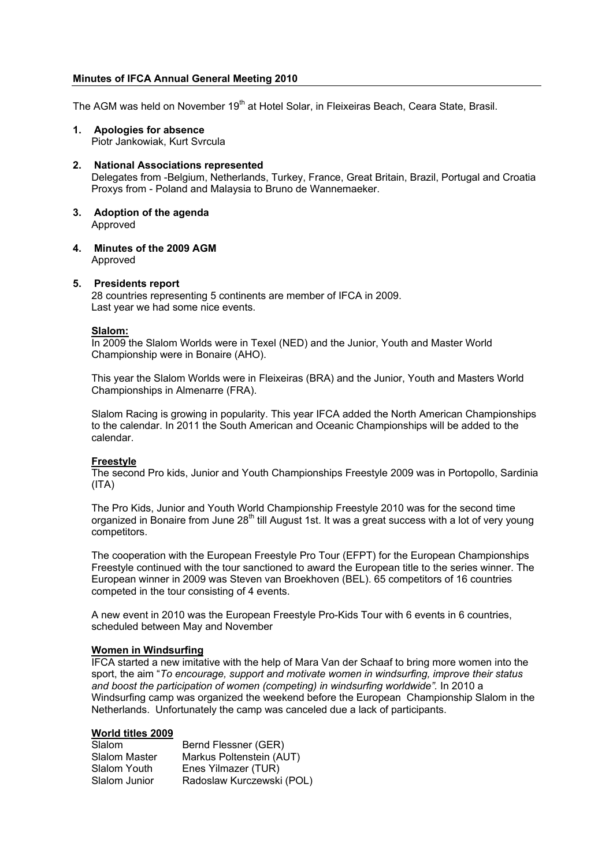## **Minutes of IFCA Annual General Meeting 2010**

The AGM was held on November 19<sup>th</sup> at Hotel Solar, in Fleixeiras Beach, Ceara State, Brasil.

- **1. Apologies for absence** Piotr Jankowiak, Kurt Svrcula
- **2. National Associations represented** Delegates from -Belgium, Netherlands, Turkey, France, Great Britain, Brazil, Portugal and Croatia Proxys from - Poland and Malaysia to Bruno de Wannemaeker.
- **3. Adoption of the agenda** Approved
- **4. Minutes of the 2009 AGM** Approved

## **5. Presidents report**

28 countries representing 5 continents are member of IFCA in 2009. Last year we had some nice events.

#### **Slalom:**

In 2009 the Slalom Worlds were in Texel (NED) and the Junior, Youth and Master World Championship were in Bonaire (AHO).

This year the Slalom Worlds were in Fleixeiras (BRA) and the Junior, Youth and Masters World Championships in Almenarre (FRA).

Slalom Racing is growing in popularity. This year IFCA added the North American Championships to the calendar. In 2011 the South American and Oceanic Championships will be added to the calendar.

## **Freestyle**

The second Pro kids, Junior and Youth Championships Freestyle 2009 was in Portopollo, Sardinia  $(ITA)$ 

The Pro Kids, Junior and Youth World Championship Freestyle 2010 was for the second time organized in Bonaire from June  $28<sup>th</sup>$  till August 1st. It was a great success with a lot of very young competitors.

The cooperation with the European Freestyle Pro Tour (EFPT) for the European Championships Freestyle continued with the tour sanctioned to award the European title to the series winner. The European winner in 2009 was Steven van Broekhoven (BEL). 65 competitors of 16 countries competed in the tour consisting of 4 events.

A new event in 2010 was the European Freestyle Pro-Kids Tour with 6 events in 6 countries, scheduled between May and November

## **Women in Windsurfing**

IFCA started a new imitative with the help of Mara Van der Schaaf to bring more women into the sport, the aim "*To encourage, support and motivate women in windsurfing, improve their status and boost the participation of women (competing) in windsurfing worldwide".* In 2010 a Windsurfing camp was organized the weekend before the European Championship Slalom in the Netherlands. Unfortunately the camp was canceled due a lack of participants.

#### **World titles 2009**

| Slalom        | Bernd Flessner (GER)      |
|---------------|---------------------------|
| Slalom Master | Markus Poltenstein (AUT)  |
| Slalom Youth  | Enes Yilmazer (TUR)       |
| Slalom Junior | Radoslaw Kurczewski (POL) |